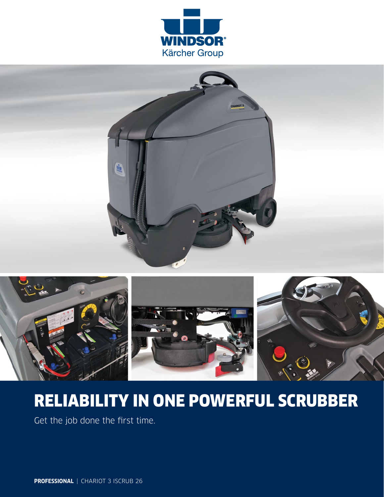





# RELIABILITY IN ONE POWERFUL SCRUBBER

Get the job done the first time.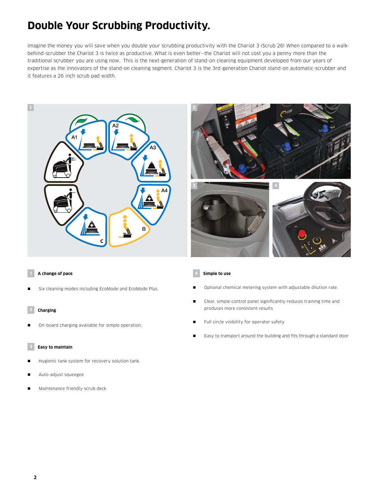# **Double Your Scrubbing Productivity.**

Imagine the money you will save when you double your scrubbing productivity with the Chariot 3 iScrub 26! When compared to a walkbehind-scrubber the Chariot 3 is twice as productive. What is even better—the Chariot will not cost you a penny more than the traditional scrubber you are using now. This is the next-generation of stand-on cleaning equipment developed from our years of expertise as the innovators of the stand-on cleaning segment. Chariot 3 is the 3rd-generation Chariot stand-on automatic-scrubber and it features a 26 inch scrub pad width.





### **1 A change of pace**

Six cleaning modes including EcoMode and EcoMode Plus.

### **2 Charging**

On-board charging available for simple operation.

### **3 Easy to maintain**

- Hygienic tank system for recovery solution tank.
- Auto-adjust squeegee
- Maintenance friendly scrub deck

### **4 Simple to use**

- Optional chemical metering system with adjustable dilution rate.
- Clear, simple control panel significantly reduces training time and produces more consistent results
- Full circle visibility for operator safety
- Easy to transport around the building and fits through a standard door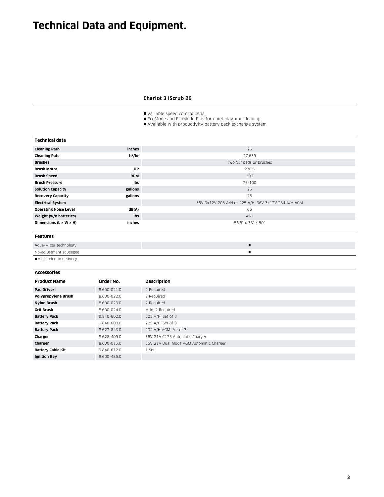# **Technical Data and Equipment.**

## **Chariot 3 iScrub 26**

Variable speed control pedal

EcoMode and EcoMode Plus for quiet, daytime cleaning

Available with productivity battery pack exchange system

| <b>Technical data</b> |  |
|-----------------------|--|
|-----------------------|--|

| <b>Cleaning Path</b>         | inches              | 26                                                  |
|------------------------------|---------------------|-----------------------------------------------------|
| <b>Cleaning Rate</b>         | ft <sup>2</sup> /hr | 27,639                                              |
| <b>Brushes</b>               |                     | Two 13" pads or brushes                             |
| <b>Brush Motor</b>           | <b>HP</b>           | $2 \times .5$                                       |
| <b>Brush Speed</b>           | <b>RPM</b>          | 300                                                 |
| <b>Brush Pressure</b>        | Ibs                 | 75-100                                              |
| <b>Solution Capacity</b>     | gallons             | 25                                                  |
| <b>Recovery Capacity</b>     | gallons             | 28                                                  |
| <b>Electrical System</b>     |                     | 36V 3x12V 205 A/H or 225 A/H, 36V 3x12V 234 A/H AGM |
| <b>Operating Noise Level</b> | dB(A)               | 66                                                  |
| Weight (w/o batteries)       | Ibs                 | 460                                                 |
| Dimensions (L x W x H)       | inches              | 56.5" x 33" x 50"                                   |
|                              |                     |                                                     |

#### **Features**

| Aqua-Mizer technology                  |  |
|----------------------------------------|--|
| No-adjustment squeegee                 |  |
| $\blacksquare$ = Included in delivery. |  |

#### **Accessories**

| <b>Product Name</b>      | Order No.   | <b>Description</b>                      |
|--------------------------|-------------|-----------------------------------------|
| <b>Pad Driver</b>        | 8.600-021.0 | 2 Required                              |
| Polypropylene Brush      | 8.600-022.0 | 2 Required                              |
| <b>Nylon Brush</b>       | 8.600-023.0 | 2 Required                              |
| <b>Grit Brush</b>        | 8.600-024.0 | Mild, 2 Required                        |
| <b>Battery Pack</b>      | 9.840-602.0 | 205 A/H, Set of 3                       |
| <b>Battery Pack</b>      | 9.840-600.0 | 225 A/H, Set of 3                       |
| <b>Battery Pack</b>      | 8.622-843.0 | 234 A/H AGM, Set of 3                   |
| Charger                  | 8.628-409.0 | 36V 21A C175 Automatic Charger          |
| Charger                  | 8.600-015.0 | 36V 21A Dual Mode AGM Automatic Charger |
| <b>Battery Cable Kit</b> | 9.840-612.0 | 1 Set                                   |
| <b>Ignition Key</b>      | 8.600-486.0 |                                         |